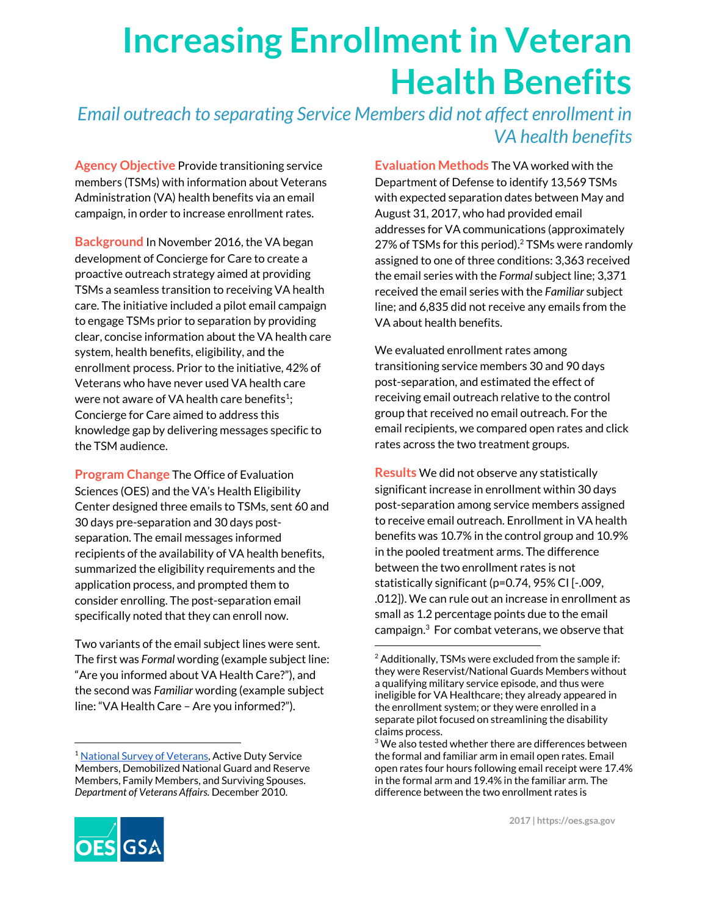## **Increasing Enrollment in Veteran Health Benefits**

*Email outreach to separating Service Members did not affect enrollment in VA health benefits*

**Agency Objective** Provide transitioning service members (TSMs) with information about Veterans Administration (VA) health benefits via an email campaign, in order to increase enrollment rates.

**Background** In November 2016, the VA began development of Concierge for Care to create a proactive outreach strategy aimed at providing TSMs a seamless transition to receiving VA health care. The initiative included a pilot email campaign to engage TSMs prior to separation by providing clear, concise information about the VA health care system, health benefits, eligibility, and the enrollment process. Prior to the initiative, 42% of Veterans who have never used VA health care were not aware of VA health care benefits<sup>1</sup>; Concierge for Care aimed to address this knowledge gap by delivering messages specific to the TSM audience.

**Program Change** The Office of Evaluation Sciences (OES) and the VA's Health Eligibility Center designed three emails to TSMs, sent 60 and 30 days pre-separation and 30 days postseparation. The email messages informed recipients of the availability of VA health benefits, summarized the eligibility requirements and the application process, and prompted them to consider enrolling. The post-separation email specifically noted that they can enroll now.

Two variants of the email subject lines were sent. The first was *Formal* wording (example subject line: "Are you informed about VA Health Care?"), and the second was *Familiar* wording (example subject line: "VA Health Care – Are you informed?").

**Evaluation Methods** The VA worked with the Department of Defense to identify 13,569 TSMs with expected separation dates between May and August 31, 2017, who had provided email addresses for VA communications (approximately 27% of TSMs for this period).<sup>2</sup> TSMs were randomly assigned to one of three conditions: 3,363 received the email series with the *Formal* subject line; 3,371 received the email series with the *Familiar* subject line; and 6,835 did not receive any emails from the VA about health benefits.

We evaluated enrollment rates among transitioning service members 30 and 90 days post-separation, and estimated the effect of receiving email outreach relative to the control group that received no email outreach. For the email recipients, we compared open rates and click rates across the two treatment groups.

**Results** We did not observe any statistically significant increase in enrollment within 30 days post-separation among service members assigned to receive email outreach. Enrollment in VA health benefits was 10.7% in the control group and 10.9% in the pooled treatment arms. The difference between the two enrollment rates is not statistically significant (p=0.74, 95% CI [-.009, .012]). We can rule out an increase in enrollment as small as 1.2 percentage points due to the email campaign. $3$  For combat veterans, we observe that



<sup>&</sup>lt;sup>1</sup> National Survey of [Veterans](https://www.va.gov/survivors/docs/nvssurveyfinalweightedreport.pdf), Active Duty Service Members, Demobilized National Guard and Reserve Members, Family Members, and Surviving Spouses. *Department of Veterans Affairs.* December 2010.

 $2$  Additionally, TSMs were excluded from the sample if: they were Reservist/National Guards Members without a qualifying military service episode, and thus were ineligible for VA Healthcare; they already appeared in the enrollment system; or they were enrolled in a separate pilot focused on streamlining the disability claims process.

 $3$  We also tested whether there are differences between the formal and familiar arm in email open rates. Email open rates four hours following email receipt were 17.4% in the formal arm and 19.4% in the familiar arm. The difference between the two enrollment rates is